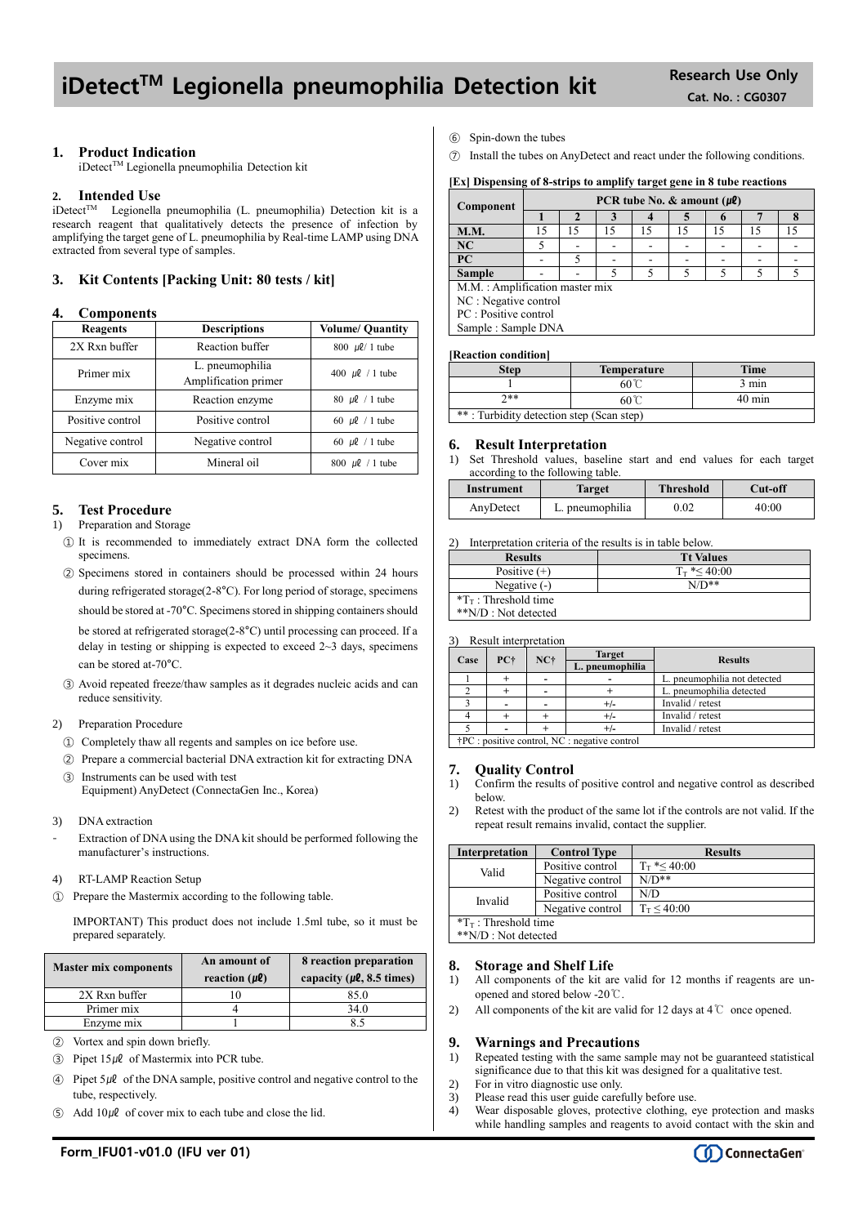## iDetect<sup>™</sup> Legionella pneumophilia Detection kit Research Use Only

## **1. Product Indication**

iDetect™ Legionella pneumophilia Detection kit

### **2. Intended Use**

 $i$ Detect<sup>TM</sup> Legionella pneumophilia (L. pneumophilia) Detection kit is a research reagent that qualitatively detects the presence of infection by amplifying the target gene of L. pneumophilia by Real-time LAMP using DNA extracted from several type of samples.

## **3. Kit Contents [Packing Unit: 80 tests / kit]**

### **4. Components**

| Reagents         | <b>Descriptions</b>                     | <b>Volume/ Quantity</b> |  |
|------------------|-----------------------------------------|-------------------------|--|
| 2X Rxn buffer    | Reaction buffer                         | $800 \, \mu\ell/1$ tube |  |
| Primer mix       | L. pneumophilia<br>Amplification primer | 400 $\mu$ l / 1 tube    |  |
| Enzyme mix       | Reaction enzyme                         | 80 $\mu$ l / 1 tube     |  |
| Positive control | Positive control                        | 60 $\mu$ l / 1 tube     |  |
| Negative control | Negative control                        | 60 $\mu$ l / 1 tube     |  |
| Cover mix        | Mineral oil                             | 800 $\mu$ l / 1 tube    |  |

## **5. Test Procedure**

#### 1) Preparation and Storage

- ① It is recommended to immediately extract DNA form the collected specimens.
- ② Specimens stored in containers should be processed within 24 hours during refrigerated storage(2-8°C). For long period of storage, specimens should be stored at -70°C. Specimens stored in shipping containers should be stored at refrigerated storage(2-8°C) until processing can proceed. If a delay in testing or shipping is expected to exceed  $2 \sim 3$  days, specimens can be stored at-70°C.
- ③ Avoid repeated freeze/thaw samples as it degrades nucleic acids and can reduce sensitivity.

## 2) Preparation Procedure

- ① Completely thaw all regents and samples on ice before use.
- ② Prepare a commercial bacterial DNA extraction kit for extracting DNA ③ Instruments can be used with test

Equipment) AnyDetect (ConnectaGen Inc., Korea)

- 3) DNA extraction
- Extraction of DNA using the DNA kit should be performed following the manufacturer's instructions.
- 4) RT-LAMP Reaction Setup
- ① Prepare the Mastermix according to the following table.

IMPORTANT) This product does not include 1.5ml tube, so it must be prepared separately.

| <b>Master mix components</b> | An amount of<br>reaction $(\mu \ell)$ | 8 reaction preparation<br>capacity ( $\mu$ <b>l</b> , 8.5 times) |  |
|------------------------------|---------------------------------------|------------------------------------------------------------------|--|
| 2X Rxn buffer                |                                       | 85.0                                                             |  |
| Primer mix                   |                                       | 34.0                                                             |  |
| Enzyme mix                   |                                       |                                                                  |  |

- ② Vortex and spin down briefly.
- $\textcircled{3}$  Pipet 15µl of Mastermix into PCR tube.
- $\widehat{A}$  Pipet 5µl of the DNA sample, positive control and negative control to the tube, respectively.
- Add  $10\mu\ell$  of cover mix to each tube and close the lid.
- ⑥ Spin-down the tubes
- ⑦ Install the tubes on AnyDetect and react under the following conditions.

#### **[Ex] Dispensing of 8-strips to amplify target gene in 8 tube reactions**

| Component                      | PCR tube No. $\&$ amount ( $\mu$ <i>l</i> ) |    |    |    |    |    |    |    |
|--------------------------------|---------------------------------------------|----|----|----|----|----|----|----|
|                                |                                             |    |    |    |    |    |    |    |
| <b>M.M.</b>                    | 15                                          | 15 | 15 | 15 | 15 | 15 | 15 | 15 |
| NC                             |                                             |    |    |    |    |    |    |    |
| PC                             |                                             |    |    |    |    |    |    |    |
| <b>Sample</b>                  |                                             |    |    |    |    |    |    |    |
| M.M.: Amplification master mix |                                             |    |    |    |    |    |    |    |
| NC : Negative control          |                                             |    |    |    |    |    |    |    |
| PC: Positive control           |                                             |    |    |    |    |    |    |    |
| Sample: Sample DNA             |                                             |    |    |    |    |    |    |    |

#### **[Reaction condition]**

| <b>Step</b>                              | <b>Temperature</b>               | <b>Time</b>     |  |  |
|------------------------------------------|----------------------------------|-----------------|--|--|
|                                          | $60^{\circ}$                     | $3 \text{ min}$ |  |  |
| ን**                                      | $40 \text{ min}$<br>$60^{\circ}$ |                 |  |  |
| **: Turbidity detection step (Scan step) |                                  |                 |  |  |

#### **6. Result Interpretation**

1) Set Threshold values, baseline start and end values for each target according to the following table.

| Instrument | Target          | <b>Threshold</b> | Cut-off |
|------------|-----------------|------------------|---------|
| AnyDetect  | L. pneumophilia | 0.02             | 40:00   |

2) Interpretation criteria of the results is in table below.

| <b>Results</b>                  | <b>Tt Values</b>     |
|---------------------------------|----------------------|
| Positive $(+)$                  | $T_{\rm T}$ *< 40:00 |
| Negative $(-)$                  | $N/D**$              |
| $T_{\text{T}}$ : Threshold time |                      |
| **N/D : Not detected            |                      |

3) Result interpretation

|      |                                                         |       | <b>Target</b>   |                              |  |                |
|------|---------------------------------------------------------|-------|-----------------|------------------------------|--|----------------|
| Case | PC+                                                     | $NC+$ | L. pneumophilia |                              |  | <b>Results</b> |
|      |                                                         |       |                 | L. pneumophilia not detected |  |                |
|      |                                                         |       |                 | L. pneumophilia detected     |  |                |
|      |                                                         |       |                 | Invalid / retest             |  |                |
|      |                                                         |       | $+/-$           | Invalid / retest             |  |                |
|      |                                                         |       |                 | Invalid / retest             |  |                |
|      | $\uparrow$ PC : positive control, NC : negative control |       |                 |                              |  |                |

**7. Quality Control**

- 1) Confirm the results of positive control and negative control as described below.
- 2) Retest with the product of the same lot if the controls are not valid. If the repeat result remains invalid, contact the supplier.

| <b>Interpretation</b>           | <b>Control Type</b> | <b>Results</b>       |  |  |
|---------------------------------|---------------------|----------------------|--|--|
| Valid                           | Positive control    | $T_{\rm T}$ *< 40:00 |  |  |
|                                 | Negative control    | $N/D**$              |  |  |
| Invalid                         | Positive control    | N/D                  |  |  |
|                                 | Negative control    | $T_T < 40:00$        |  |  |
| $T_{\text{T}}$ : Threshold time |                     |                      |  |  |
| **N/D : Not detected            |                     |                      |  |  |

## **8. Storage and Shelf Life**

- 1) All components of the kit are valid for 12 months if reagents are unopened and stored below -20℃.
- 2) All components of the kit are valid for 12 days at 4℃ once opened.

## **9. Warnings and Precautions**

- 1) Repeated testing with the same sample may not be guaranteed statistical significance due to that this kit was designed for a qualitative test.
- 2) For in vitro diagnostic use only.
- 3) Please read this user guide carefully before use.
- 4) Wear disposable gloves, protective clothing, eye protection and masks while handling samples and reagents to avoid contact with the skin and